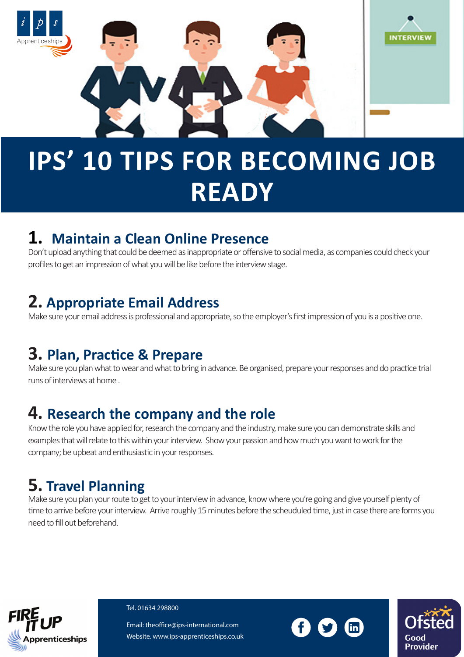

# **IPS' 10 TIPS FOR BECOMING JOB READY**

#### **1. Maintain a Clean Online Presence**

Don't upload anything that could be deemed as inappropriate or offensive to social media, as companies could check your profiles to get an impression of what you will be like before the interview stage.

# **2. Appropriate Email Address**

Make sure your email address is professional and appropriate, so the employer's first impression of you is a positive one.

# **3. Plan, Practice & Prepare**

Make sure you plan what to wear and what to bring in advance. Be organised, prepare your responses and do practice trial runs of interviews at home .

### **4. Research the company and the role**

Know the role you have applied for, research the company and the industry, make sure you can demonstrate skills and examples that will relate to this within your interview. Show your passion and how much you want to work for the company; be upbeat and enthusiastic in your responses.

# **5. Travel Planning**

Make sure you plan your route to get to your interview in advance, know where you're going and give yourself plenty of time to arrive before your interview. Arrive roughly 15 minutes before the scheuduled time, just in case there are forms you need to fill out beforehand.



Tel. 01634 298800

Email: theoffice@ips-international.com Website. www.ips-apprenticeships.co.uk